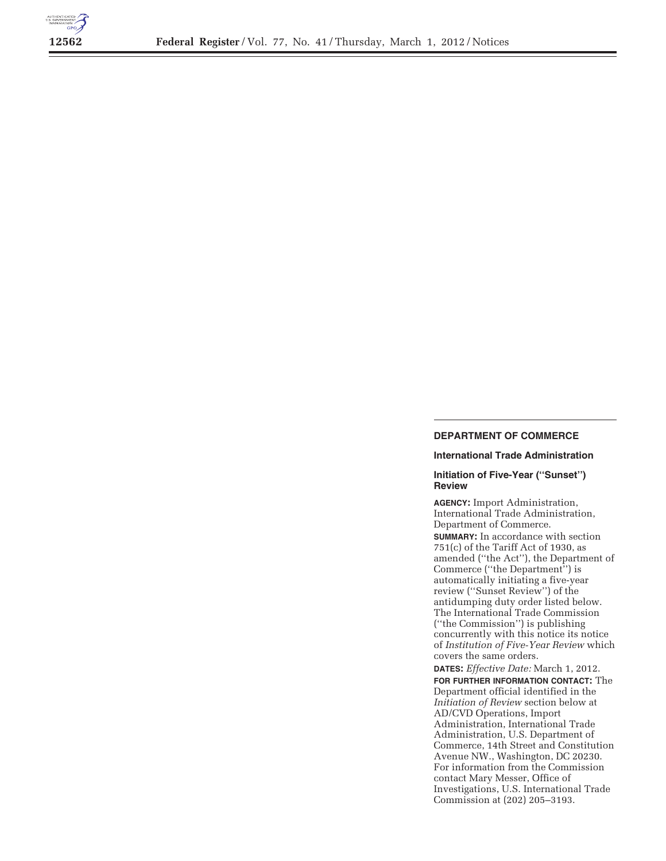

#### **DEPARTMENT OF COMMERCE**

### **International Trade Administration**

# **Initiation of Five-Year (''Sunset'') Review**

**AGENCY:** Import Administration, International Trade Administration, Department of Commerce. **SUMMARY:** In accordance with section 751(c) of the Tariff Act of 1930, as amended (''the Act''), the Department of Commerce ("the Department") is automatically initiating a five-year review (''Sunset Review'') of the antidumping duty order listed below. The International Trade Commission (''the Commission'') is publishing concurrently with this notice its notice of *Institution of Five-Year Review* which covers the same orders.

**DATES:** *Effective Date:* March 1, 2012. **FOR FURTHER INFORMATION CONTACT:** The Department official identified in the *Initiation of Review* section below at AD/CVD Operations, Import Administration, International Trade Administration, U.S. Department of Commerce, 14th Street and Constitution Avenue NW., Washington, DC 20230. For information from the Commission contact Mary Messer, Office of Investigations, U.S. International Trade Commission at (202) 205–3193.